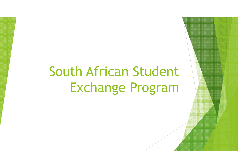# South African Student Exchange Program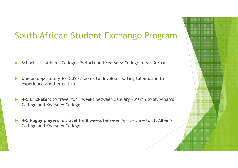#### South African Student Exchange Program

- $\blacktriangleright$ Schools: St. Alban's College, Pretoria and Kearsney College, near Durban.
- $\blacktriangleright$  Unique opportunity for CUS students to develop sporting talents and to experience another culture.
- **→ 4-5 Cricketers** to travel for 8 weeks between January March to St. Alban's College and Kearsney College.
- $\blacktriangleright$  **4-5 Rugby players** to travel for 8 weeks between April – June to St. Alban's College and Kearsney College.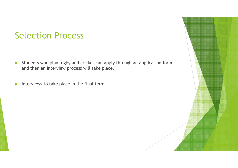#### Selection Process

- Students who play rugby and cricket can apply through an application form and then an interview process will take place.
- $\blacktriangleright$ Interviews to take place in the final term.

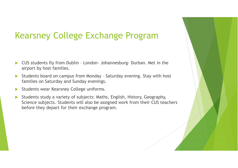#### Kearsney College Exchange Program

- $\blacktriangleright$  CUS students fly from Dublin – London- Johannesburg- Durban. Met in the airport by host families.
- $\blacktriangleright$  Students board on campus from Monday – Saturday evening. Stay with host families on Saturday and Sunday evenings.
- $\blacktriangleright$ Students wear Kearsney College uniforms.
- $\blacktriangleright$  Students study a variety of subjects: Maths, English, History, Geography, Science subjects. Students will also be assigned work from their CUS teachers before they depart for their exchange program.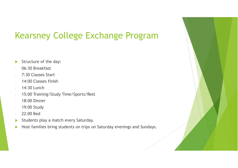## Kearsney College Exchange Program

- $\blacktriangleright$ Structure of the day:
- 06:30 Breakfast
- 7:30 Classes Start
- 14:00 Classes finish
- 14:30 Lunch
- 15:00 Training/Study Time/Sports/Rest
- 18:00 Dinner
- 19:00 Study
- 22:00 Bed
- $\blacktriangleright$ Students play a match every Saturday.
- $\blacktriangleright$ Host families bring students on trips on Saturday evenings and Sundays.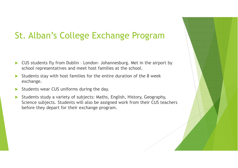### St. Alban's College Exchange Program

- $\blacktriangleright$  CUS students fly from Dublin – London- Johannesburg. Met in the airport by school representatives and meet host families at the school.
- $\blacktriangleright$  Students stay with host families for the entire duration of the 8 week exchange.
- $\blacktriangleright$ Students wear CUS uniforms during the day.
- $\blacktriangleright$  Students study a variety of subjects: Maths, English, History, Geography, Science subjects. Students will also be assigned work from their CUS teachers before they depart for their exchange program.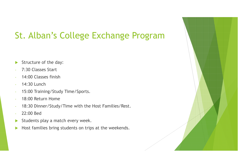# St. Alban's College Exchange Program

- $\blacktriangleright$ Structure of the day:
- 7:30 Classes Start
- 14:00 Classes finish
- 14:30 Lunch
- 15:00 Training/Study Time/Sports.
- 18:00 Return Home
- 18:30 Dinner/Study/Time with the Host Families/Rest.
- 22:00 Bed
- $\blacktriangleright$ Students play a match every week.
- $\blacktriangleright$ Host families bring students on trips at the weekends.